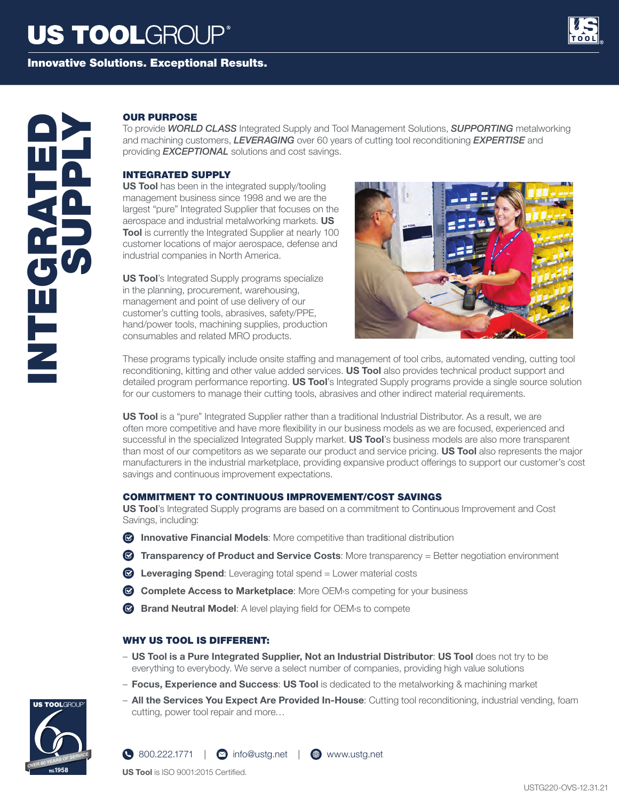Innovative Solutions. Exceptional Results.



# **OUR PURPOSE**<br>
To provide WORLD<br>
and machining cus<br>
providing EXCEPT<br>
INTEGRATED SUS<br>
IS Tool has been<br>
management busin<br>
largest "pure" Integrated<br>
Tool is currently the<br>
customer locations<br>
in the planning, pro<br>
Manageme

To provide *WORLD CLASS* Integrated Supply and Tool Management Solutions, *SUPPORTING* metalworking and machining customers, *LEVERAGING* over 60 years of cutting tool reconditioning *EXPERTISE* and providing *EXCEPTIONAL* solutions and cost savings.

### INTEGRATED SUPPLY

**US Tool** has been in the integrated supply/tooling management business since 1998 and we are the largest "pure" Integrated Supplier that focuses on the aerospace and industrial metalworking markets. **US Tool** is currently the Integrated Supplier at nearly 100 customer locations of major aerospace, defense and industrial companies in North America.

**US Tool's Integrated Supply programs specialize** in the planning, procurement, warehousing, management and point of use delivery of our customer's cutting tools, abrasives, safety/PPE, hand/power tools, machining supplies, production consumables and related MRO products.



These programs typically include onsite staffing and management of tool cribs, automated vending, cutting tool reconditioning, kitting and other value added services. **US Tool** also provides technical product support and detailed program performance reporting. **US Tool**'s Integrated Supply programs provide a single source solution for our customers to manage their cutting tools, abrasives and other indirect material requirements.

**US Tool** is a "pure" Integrated Supplier rather than a traditional Industrial Distributor. As a result, we are often more competitive and have more flexibility in our business models as we are focused, experienced and successful in the specialized Integrated Supply market. **US Tool**'s business models are also more transparent than most of our competitors as we separate our product and service pricing. **US Tool** also represents the major manufacturers in the industrial marketplace, providing expansive product offerings to support our customer's cost savings and continuous improvement expectations.

### COMMITMENT TO CONTINUOUS IMPROVEMENT/COST SAVINGS

**US Tool**'s Integrated Supply programs are based on a commitment to Continuous Improvement and Cost Savings, including:

- **<b>B** Innovative Financial Models: More competitive than traditional distribution
- **Transparency of Product and Service Costs**: More transparency = Better negotiation environment
- **Leveraging Spend**: Leveraging total spend = Lower material costs
- **Complete Access to Marketplace**: More OEM›s competing for your business
- **Brand Neutral Model**: A level playing field for OEM›s to compete

### WHY US TOOL IS DIFFERENT:

- **US Tool is a Pure Integrated Supplier, Not an Industrial Distributor**: **US Tool** does not try to be everything to everybody. We serve a select number of companies, providing high value solutions
- **Focus, Experience and Success**: **US Tool** is dedicated to the metalworking & machining market
- **All the Services You Expect Are Provided In-House**: Cutting tool reconditioning, industrial vending, foam cutting, power tool repair and more…



**US Tool** is ISO 9001:2015 Certified.

 $\bigcirc$  800.222.1771 |  $\bigcirc$  info@ustg.net |  $\bigcirc$  www.ustg.net